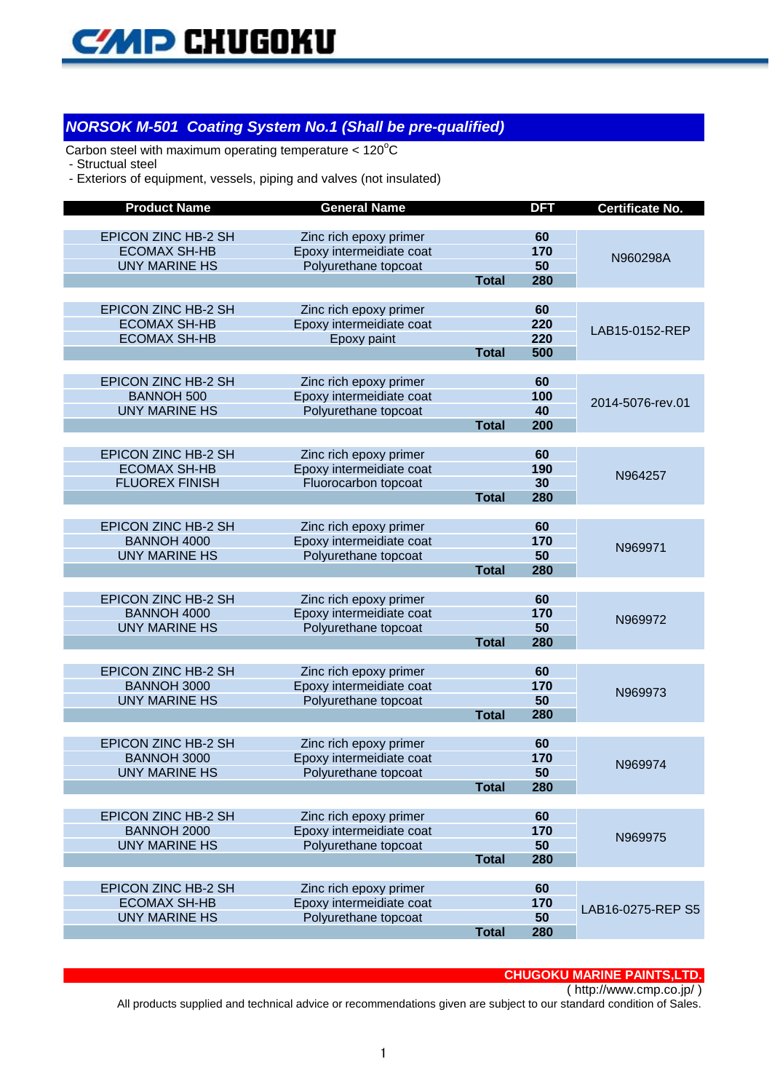

#### *NORSOK M-501 Coating System No.1 (Shall be pre-qualified)*

Carbon steel with maximum operating temperature  $< 120^{\circ}$ C

- Structual steel

- Exteriors of equipment, vessels, piping and valves (not insulated)

| <b>EPICON ZINC HB-2 SH</b><br>Zinc rich epoxy primer<br>60<br>170<br><b>ECOMAX SH-HB</b><br>Epoxy intermeidiate coat<br>N960298A<br>50<br><b>UNY MARINE HS</b><br>Polyurethane topcoat<br>280<br><b>Total</b><br><b>EPICON ZINC HB-2 SH</b><br>60<br>Zinc rich epoxy primer<br>220<br><b>ECOMAX SH-HB</b><br>Epoxy intermeidiate coat<br>LAB15-0152-REP<br>220<br><b>ECOMAX SH-HB</b><br>Epoxy paint<br>500<br><b>Total</b><br>EPICON ZINC HB-2 SH<br>Zinc rich epoxy primer<br>60<br><b>BANNOH 500</b><br>Epoxy intermeidiate coat<br>100<br>2014-5076-rev.01<br><b>UNY MARINE HS</b><br>Polyurethane topcoat<br>40<br>200<br><b>Total</b><br>EPICON ZINC HB-2 SH<br>Zinc rich epoxy primer<br>60<br>190<br><b>ECOMAX SH-HB</b><br>Epoxy intermeidiate coat<br>N964257<br><b>FLUOREX FINISH</b><br>Fluorocarbon topcoat<br>30<br>280<br><b>Total</b><br><b>EPICON ZINC HB-2 SH</b><br>Zinc rich epoxy primer<br>60<br><b>BANNOH 4000</b><br>Epoxy intermeidiate coat<br>170<br>N969971<br><b>UNY MARINE HS</b><br>Polyurethane topcoat<br>50<br>280<br><b>Total</b><br><b>EPICON ZINC HB-2 SH</b><br>Zinc rich epoxy primer<br>60<br><b>BANNOH 4000</b><br>Epoxy intermeidiate coat<br>170<br>N969972<br><b>UNY MARINE HS</b><br>Polyurethane topcoat<br>50<br>280<br><b>Total</b><br><b>EPICON ZINC HB-2 SH</b><br>Zinc rich epoxy primer<br>60<br><b>BANNOH 3000</b><br>170<br>Epoxy intermeidiate coat<br>N969973<br>Polyurethane topcoat<br>50<br><b>UNY MARINE HS</b><br><b>Total</b><br>280<br><b>EPICON ZINC HB-2 SH</b><br>Zinc rich epoxy primer<br>60<br>170<br><b>BANNOH 3000</b><br>Epoxy intermeidiate coat<br>N969974<br>50<br><b>UNY MARINE HS</b><br>Polyurethane topcoat<br><b>Total</b><br>280<br><b>EPICON ZINC HB-2 SH</b><br>Zinc rich epoxy primer<br>60<br>170<br><b>BANNOH 2000</b><br>Epoxy intermeidiate coat<br>N969975<br><b>UNY MARINE HS</b><br>Polyurethane topcoat<br>50<br><b>Total</b><br>280<br>EPICON ZINC HB-2 SH<br>Zinc rich epoxy primer<br>60<br><b>ECOMAX SH-HB</b><br>Epoxy intermeidiate coat<br>170<br>LAB16-0275-REP S5<br><b>UNY MARINE HS</b><br>Polyurethane topcoat<br>50<br><b>Total</b><br>280 | <b>Product Name</b> | <b>General Name</b> | <b>DFT</b> | <b>Certificate No.</b> |
|-----------------------------------------------------------------------------------------------------------------------------------------------------------------------------------------------------------------------------------------------------------------------------------------------------------------------------------------------------------------------------------------------------------------------------------------------------------------------------------------------------------------------------------------------------------------------------------------------------------------------------------------------------------------------------------------------------------------------------------------------------------------------------------------------------------------------------------------------------------------------------------------------------------------------------------------------------------------------------------------------------------------------------------------------------------------------------------------------------------------------------------------------------------------------------------------------------------------------------------------------------------------------------------------------------------------------------------------------------------------------------------------------------------------------------------------------------------------------------------------------------------------------------------------------------------------------------------------------------------------------------------------------------------------------------------------------------------------------------------------------------------------------------------------------------------------------------------------------------------------------------------------------------------------------------------------------------------------------------------------------------------------------------------------------------------------------------------------------------------------------------------------------------|---------------------|---------------------|------------|------------------------|
|                                                                                                                                                                                                                                                                                                                                                                                                                                                                                                                                                                                                                                                                                                                                                                                                                                                                                                                                                                                                                                                                                                                                                                                                                                                                                                                                                                                                                                                                                                                                                                                                                                                                                                                                                                                                                                                                                                                                                                                                                                                                                                                                                     |                     |                     |            |                        |
|                                                                                                                                                                                                                                                                                                                                                                                                                                                                                                                                                                                                                                                                                                                                                                                                                                                                                                                                                                                                                                                                                                                                                                                                                                                                                                                                                                                                                                                                                                                                                                                                                                                                                                                                                                                                                                                                                                                                                                                                                                                                                                                                                     |                     |                     |            |                        |
|                                                                                                                                                                                                                                                                                                                                                                                                                                                                                                                                                                                                                                                                                                                                                                                                                                                                                                                                                                                                                                                                                                                                                                                                                                                                                                                                                                                                                                                                                                                                                                                                                                                                                                                                                                                                                                                                                                                                                                                                                                                                                                                                                     |                     |                     |            |                        |
|                                                                                                                                                                                                                                                                                                                                                                                                                                                                                                                                                                                                                                                                                                                                                                                                                                                                                                                                                                                                                                                                                                                                                                                                                                                                                                                                                                                                                                                                                                                                                                                                                                                                                                                                                                                                                                                                                                                                                                                                                                                                                                                                                     |                     |                     |            |                        |
|                                                                                                                                                                                                                                                                                                                                                                                                                                                                                                                                                                                                                                                                                                                                                                                                                                                                                                                                                                                                                                                                                                                                                                                                                                                                                                                                                                                                                                                                                                                                                                                                                                                                                                                                                                                                                                                                                                                                                                                                                                                                                                                                                     |                     |                     |            |                        |
|                                                                                                                                                                                                                                                                                                                                                                                                                                                                                                                                                                                                                                                                                                                                                                                                                                                                                                                                                                                                                                                                                                                                                                                                                                                                                                                                                                                                                                                                                                                                                                                                                                                                                                                                                                                                                                                                                                                                                                                                                                                                                                                                                     |                     |                     |            |                        |
|                                                                                                                                                                                                                                                                                                                                                                                                                                                                                                                                                                                                                                                                                                                                                                                                                                                                                                                                                                                                                                                                                                                                                                                                                                                                                                                                                                                                                                                                                                                                                                                                                                                                                                                                                                                                                                                                                                                                                                                                                                                                                                                                                     |                     |                     |            |                        |
|                                                                                                                                                                                                                                                                                                                                                                                                                                                                                                                                                                                                                                                                                                                                                                                                                                                                                                                                                                                                                                                                                                                                                                                                                                                                                                                                                                                                                                                                                                                                                                                                                                                                                                                                                                                                                                                                                                                                                                                                                                                                                                                                                     |                     |                     |            |                        |
|                                                                                                                                                                                                                                                                                                                                                                                                                                                                                                                                                                                                                                                                                                                                                                                                                                                                                                                                                                                                                                                                                                                                                                                                                                                                                                                                                                                                                                                                                                                                                                                                                                                                                                                                                                                                                                                                                                                                                                                                                                                                                                                                                     |                     |                     |            |                        |
|                                                                                                                                                                                                                                                                                                                                                                                                                                                                                                                                                                                                                                                                                                                                                                                                                                                                                                                                                                                                                                                                                                                                                                                                                                                                                                                                                                                                                                                                                                                                                                                                                                                                                                                                                                                                                                                                                                                                                                                                                                                                                                                                                     |                     |                     |            |                        |
|                                                                                                                                                                                                                                                                                                                                                                                                                                                                                                                                                                                                                                                                                                                                                                                                                                                                                                                                                                                                                                                                                                                                                                                                                                                                                                                                                                                                                                                                                                                                                                                                                                                                                                                                                                                                                                                                                                                                                                                                                                                                                                                                                     |                     |                     |            |                        |
|                                                                                                                                                                                                                                                                                                                                                                                                                                                                                                                                                                                                                                                                                                                                                                                                                                                                                                                                                                                                                                                                                                                                                                                                                                                                                                                                                                                                                                                                                                                                                                                                                                                                                                                                                                                                                                                                                                                                                                                                                                                                                                                                                     |                     |                     |            |                        |
|                                                                                                                                                                                                                                                                                                                                                                                                                                                                                                                                                                                                                                                                                                                                                                                                                                                                                                                                                                                                                                                                                                                                                                                                                                                                                                                                                                                                                                                                                                                                                                                                                                                                                                                                                                                                                                                                                                                                                                                                                                                                                                                                                     |                     |                     |            |                        |
|                                                                                                                                                                                                                                                                                                                                                                                                                                                                                                                                                                                                                                                                                                                                                                                                                                                                                                                                                                                                                                                                                                                                                                                                                                                                                                                                                                                                                                                                                                                                                                                                                                                                                                                                                                                                                                                                                                                                                                                                                                                                                                                                                     |                     |                     |            |                        |
|                                                                                                                                                                                                                                                                                                                                                                                                                                                                                                                                                                                                                                                                                                                                                                                                                                                                                                                                                                                                                                                                                                                                                                                                                                                                                                                                                                                                                                                                                                                                                                                                                                                                                                                                                                                                                                                                                                                                                                                                                                                                                                                                                     |                     |                     |            |                        |
|                                                                                                                                                                                                                                                                                                                                                                                                                                                                                                                                                                                                                                                                                                                                                                                                                                                                                                                                                                                                                                                                                                                                                                                                                                                                                                                                                                                                                                                                                                                                                                                                                                                                                                                                                                                                                                                                                                                                                                                                                                                                                                                                                     |                     |                     |            |                        |
|                                                                                                                                                                                                                                                                                                                                                                                                                                                                                                                                                                                                                                                                                                                                                                                                                                                                                                                                                                                                                                                                                                                                                                                                                                                                                                                                                                                                                                                                                                                                                                                                                                                                                                                                                                                                                                                                                                                                                                                                                                                                                                                                                     |                     |                     |            |                        |
|                                                                                                                                                                                                                                                                                                                                                                                                                                                                                                                                                                                                                                                                                                                                                                                                                                                                                                                                                                                                                                                                                                                                                                                                                                                                                                                                                                                                                                                                                                                                                                                                                                                                                                                                                                                                                                                                                                                                                                                                                                                                                                                                                     |                     |                     |            |                        |
|                                                                                                                                                                                                                                                                                                                                                                                                                                                                                                                                                                                                                                                                                                                                                                                                                                                                                                                                                                                                                                                                                                                                                                                                                                                                                                                                                                                                                                                                                                                                                                                                                                                                                                                                                                                                                                                                                                                                                                                                                                                                                                                                                     |                     |                     |            |                        |
|                                                                                                                                                                                                                                                                                                                                                                                                                                                                                                                                                                                                                                                                                                                                                                                                                                                                                                                                                                                                                                                                                                                                                                                                                                                                                                                                                                                                                                                                                                                                                                                                                                                                                                                                                                                                                                                                                                                                                                                                                                                                                                                                                     |                     |                     |            |                        |
|                                                                                                                                                                                                                                                                                                                                                                                                                                                                                                                                                                                                                                                                                                                                                                                                                                                                                                                                                                                                                                                                                                                                                                                                                                                                                                                                                                                                                                                                                                                                                                                                                                                                                                                                                                                                                                                                                                                                                                                                                                                                                                                                                     |                     |                     |            |                        |
|                                                                                                                                                                                                                                                                                                                                                                                                                                                                                                                                                                                                                                                                                                                                                                                                                                                                                                                                                                                                                                                                                                                                                                                                                                                                                                                                                                                                                                                                                                                                                                                                                                                                                                                                                                                                                                                                                                                                                                                                                                                                                                                                                     |                     |                     |            |                        |
|                                                                                                                                                                                                                                                                                                                                                                                                                                                                                                                                                                                                                                                                                                                                                                                                                                                                                                                                                                                                                                                                                                                                                                                                                                                                                                                                                                                                                                                                                                                                                                                                                                                                                                                                                                                                                                                                                                                                                                                                                                                                                                                                                     |                     |                     |            |                        |
|                                                                                                                                                                                                                                                                                                                                                                                                                                                                                                                                                                                                                                                                                                                                                                                                                                                                                                                                                                                                                                                                                                                                                                                                                                                                                                                                                                                                                                                                                                                                                                                                                                                                                                                                                                                                                                                                                                                                                                                                                                                                                                                                                     |                     |                     |            |                        |
|                                                                                                                                                                                                                                                                                                                                                                                                                                                                                                                                                                                                                                                                                                                                                                                                                                                                                                                                                                                                                                                                                                                                                                                                                                                                                                                                                                                                                                                                                                                                                                                                                                                                                                                                                                                                                                                                                                                                                                                                                                                                                                                                                     |                     |                     |            |                        |
|                                                                                                                                                                                                                                                                                                                                                                                                                                                                                                                                                                                                                                                                                                                                                                                                                                                                                                                                                                                                                                                                                                                                                                                                                                                                                                                                                                                                                                                                                                                                                                                                                                                                                                                                                                                                                                                                                                                                                                                                                                                                                                                                                     |                     |                     |            |                        |
|                                                                                                                                                                                                                                                                                                                                                                                                                                                                                                                                                                                                                                                                                                                                                                                                                                                                                                                                                                                                                                                                                                                                                                                                                                                                                                                                                                                                                                                                                                                                                                                                                                                                                                                                                                                                                                                                                                                                                                                                                                                                                                                                                     |                     |                     |            |                        |
|                                                                                                                                                                                                                                                                                                                                                                                                                                                                                                                                                                                                                                                                                                                                                                                                                                                                                                                                                                                                                                                                                                                                                                                                                                                                                                                                                                                                                                                                                                                                                                                                                                                                                                                                                                                                                                                                                                                                                                                                                                                                                                                                                     |                     |                     |            |                        |
|                                                                                                                                                                                                                                                                                                                                                                                                                                                                                                                                                                                                                                                                                                                                                                                                                                                                                                                                                                                                                                                                                                                                                                                                                                                                                                                                                                                                                                                                                                                                                                                                                                                                                                                                                                                                                                                                                                                                                                                                                                                                                                                                                     |                     |                     |            |                        |
|                                                                                                                                                                                                                                                                                                                                                                                                                                                                                                                                                                                                                                                                                                                                                                                                                                                                                                                                                                                                                                                                                                                                                                                                                                                                                                                                                                                                                                                                                                                                                                                                                                                                                                                                                                                                                                                                                                                                                                                                                                                                                                                                                     |                     |                     |            |                        |
|                                                                                                                                                                                                                                                                                                                                                                                                                                                                                                                                                                                                                                                                                                                                                                                                                                                                                                                                                                                                                                                                                                                                                                                                                                                                                                                                                                                                                                                                                                                                                                                                                                                                                                                                                                                                                                                                                                                                                                                                                                                                                                                                                     |                     |                     |            |                        |
|                                                                                                                                                                                                                                                                                                                                                                                                                                                                                                                                                                                                                                                                                                                                                                                                                                                                                                                                                                                                                                                                                                                                                                                                                                                                                                                                                                                                                                                                                                                                                                                                                                                                                                                                                                                                                                                                                                                                                                                                                                                                                                                                                     |                     |                     |            |                        |
|                                                                                                                                                                                                                                                                                                                                                                                                                                                                                                                                                                                                                                                                                                                                                                                                                                                                                                                                                                                                                                                                                                                                                                                                                                                                                                                                                                                                                                                                                                                                                                                                                                                                                                                                                                                                                                                                                                                                                                                                                                                                                                                                                     |                     |                     |            |                        |
|                                                                                                                                                                                                                                                                                                                                                                                                                                                                                                                                                                                                                                                                                                                                                                                                                                                                                                                                                                                                                                                                                                                                                                                                                                                                                                                                                                                                                                                                                                                                                                                                                                                                                                                                                                                                                                                                                                                                                                                                                                                                                                                                                     |                     |                     |            |                        |
|                                                                                                                                                                                                                                                                                                                                                                                                                                                                                                                                                                                                                                                                                                                                                                                                                                                                                                                                                                                                                                                                                                                                                                                                                                                                                                                                                                                                                                                                                                                                                                                                                                                                                                                                                                                                                                                                                                                                                                                                                                                                                                                                                     |                     |                     |            |                        |
|                                                                                                                                                                                                                                                                                                                                                                                                                                                                                                                                                                                                                                                                                                                                                                                                                                                                                                                                                                                                                                                                                                                                                                                                                                                                                                                                                                                                                                                                                                                                                                                                                                                                                                                                                                                                                                                                                                                                                                                                                                                                                                                                                     |                     |                     |            |                        |
|                                                                                                                                                                                                                                                                                                                                                                                                                                                                                                                                                                                                                                                                                                                                                                                                                                                                                                                                                                                                                                                                                                                                                                                                                                                                                                                                                                                                                                                                                                                                                                                                                                                                                                                                                                                                                                                                                                                                                                                                                                                                                                                                                     |                     |                     |            |                        |
|                                                                                                                                                                                                                                                                                                                                                                                                                                                                                                                                                                                                                                                                                                                                                                                                                                                                                                                                                                                                                                                                                                                                                                                                                                                                                                                                                                                                                                                                                                                                                                                                                                                                                                                                                                                                                                                                                                                                                                                                                                                                                                                                                     |                     |                     |            |                        |
|                                                                                                                                                                                                                                                                                                                                                                                                                                                                                                                                                                                                                                                                                                                                                                                                                                                                                                                                                                                                                                                                                                                                                                                                                                                                                                                                                                                                                                                                                                                                                                                                                                                                                                                                                                                                                                                                                                                                                                                                                                                                                                                                                     |                     |                     |            |                        |
|                                                                                                                                                                                                                                                                                                                                                                                                                                                                                                                                                                                                                                                                                                                                                                                                                                                                                                                                                                                                                                                                                                                                                                                                                                                                                                                                                                                                                                                                                                                                                                                                                                                                                                                                                                                                                                                                                                                                                                                                                                                                                                                                                     |                     |                     |            |                        |
|                                                                                                                                                                                                                                                                                                                                                                                                                                                                                                                                                                                                                                                                                                                                                                                                                                                                                                                                                                                                                                                                                                                                                                                                                                                                                                                                                                                                                                                                                                                                                                                                                                                                                                                                                                                                                                                                                                                                                                                                                                                                                                                                                     |                     |                     |            |                        |
|                                                                                                                                                                                                                                                                                                                                                                                                                                                                                                                                                                                                                                                                                                                                                                                                                                                                                                                                                                                                                                                                                                                                                                                                                                                                                                                                                                                                                                                                                                                                                                                                                                                                                                                                                                                                                                                                                                                                                                                                                                                                                                                                                     |                     |                     |            |                        |
|                                                                                                                                                                                                                                                                                                                                                                                                                                                                                                                                                                                                                                                                                                                                                                                                                                                                                                                                                                                                                                                                                                                                                                                                                                                                                                                                                                                                                                                                                                                                                                                                                                                                                                                                                                                                                                                                                                                                                                                                                                                                                                                                                     |                     |                     |            |                        |
|                                                                                                                                                                                                                                                                                                                                                                                                                                                                                                                                                                                                                                                                                                                                                                                                                                                                                                                                                                                                                                                                                                                                                                                                                                                                                                                                                                                                                                                                                                                                                                                                                                                                                                                                                                                                                                                                                                                                                                                                                                                                                                                                                     |                     |                     |            |                        |
|                                                                                                                                                                                                                                                                                                                                                                                                                                                                                                                                                                                                                                                                                                                                                                                                                                                                                                                                                                                                                                                                                                                                                                                                                                                                                                                                                                                                                                                                                                                                                                                                                                                                                                                                                                                                                                                                                                                                                                                                                                                                                                                                                     |                     |                     |            |                        |
|                                                                                                                                                                                                                                                                                                                                                                                                                                                                                                                                                                                                                                                                                                                                                                                                                                                                                                                                                                                                                                                                                                                                                                                                                                                                                                                                                                                                                                                                                                                                                                                                                                                                                                                                                                                                                                                                                                                                                                                                                                                                                                                                                     |                     |                     |            |                        |
|                                                                                                                                                                                                                                                                                                                                                                                                                                                                                                                                                                                                                                                                                                                                                                                                                                                                                                                                                                                                                                                                                                                                                                                                                                                                                                                                                                                                                                                                                                                                                                                                                                                                                                                                                                                                                                                                                                                                                                                                                                                                                                                                                     |                     |                     |            |                        |
|                                                                                                                                                                                                                                                                                                                                                                                                                                                                                                                                                                                                                                                                                                                                                                                                                                                                                                                                                                                                                                                                                                                                                                                                                                                                                                                                                                                                                                                                                                                                                                                                                                                                                                                                                                                                                                                                                                                                                                                                                                                                                                                                                     |                     |                     |            |                        |
|                                                                                                                                                                                                                                                                                                                                                                                                                                                                                                                                                                                                                                                                                                                                                                                                                                                                                                                                                                                                                                                                                                                                                                                                                                                                                                                                                                                                                                                                                                                                                                                                                                                                                                                                                                                                                                                                                                                                                                                                                                                                                                                                                     |                     |                     |            |                        |

#### **CHUGOKU MARINE PAINTS,LTD.**

( http://www.cmp.co.jp/ )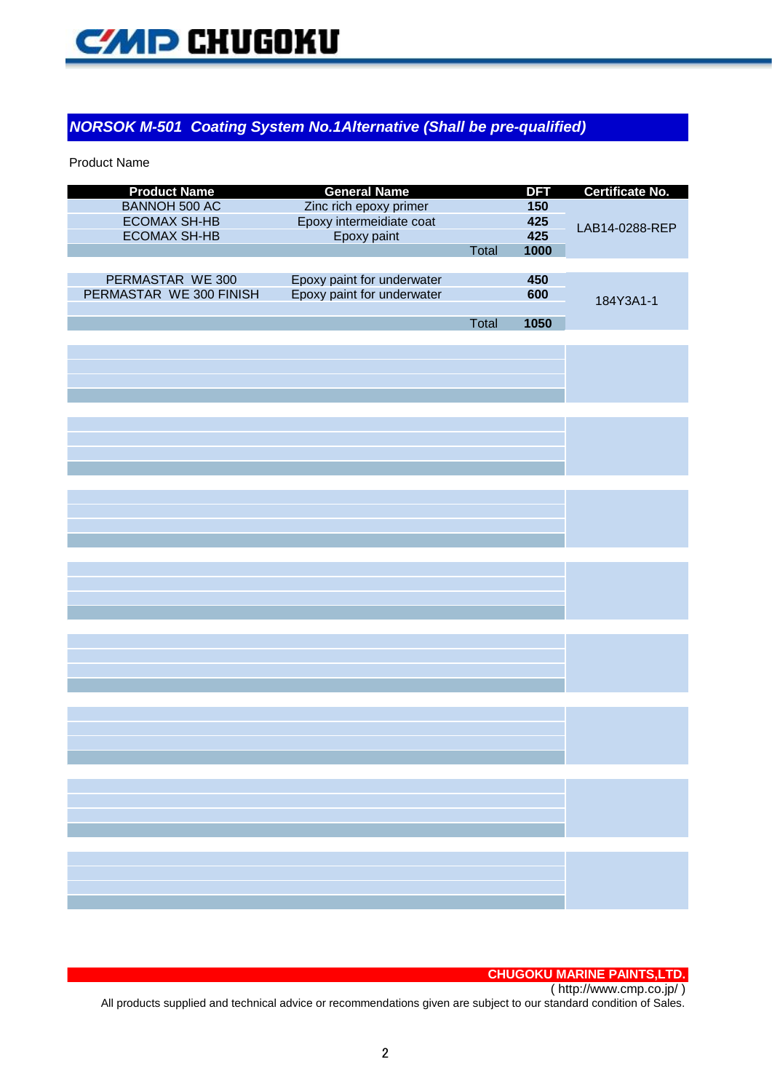

#### *NORSOK M-501 Coating System No.1Alternative (Shall be pre-qualified)*

Product Name

| <b>Product Name</b>     | <b>General Name</b>        |       | <b>DFT</b> | <b>Certificate No.</b> |
|-------------------------|----------------------------|-------|------------|------------------------|
| <b>BANNOH 500 AC</b>    | Zinc rich epoxy primer     |       | 150        |                        |
| <b>ECOMAX SH-HB</b>     | Epoxy intermeidiate coat   |       | 425        |                        |
| <b>ECOMAX SH-HB</b>     | Epoxy paint                |       | 425        | LAB14-0288-REP         |
|                         |                            | Total | 1000       |                        |
|                         |                            |       |            |                        |
| PERMASTAR WE 300        | Epoxy paint for underwater |       | 450        |                        |
| PERMASTAR WE 300 FINISH | Epoxy paint for underwater |       | 600        |                        |
|                         |                            |       |            | 184Y3A1-1              |
|                         |                            | Total | 1050       |                        |
|                         |                            |       |            |                        |
|                         |                            |       |            |                        |
|                         |                            |       |            |                        |
|                         |                            |       |            |                        |
|                         |                            |       |            |                        |
|                         |                            |       |            |                        |
|                         |                            |       |            |                        |
|                         |                            |       |            |                        |
|                         |                            |       |            |                        |
|                         |                            |       |            |                        |
|                         |                            |       |            |                        |
|                         |                            |       |            |                        |
|                         |                            |       |            |                        |
|                         |                            |       |            |                        |
|                         |                            |       |            |                        |
|                         |                            |       |            |                        |
|                         |                            |       |            |                        |
|                         |                            |       |            |                        |
|                         |                            |       |            |                        |
|                         |                            |       |            |                        |
|                         |                            |       |            |                        |
|                         |                            |       |            |                        |
|                         |                            |       |            |                        |
|                         |                            |       |            |                        |
|                         |                            |       |            |                        |
|                         |                            |       |            |                        |
|                         |                            |       |            |                        |
|                         |                            |       |            |                        |
|                         |                            |       |            |                        |
|                         |                            |       |            |                        |
|                         |                            |       |            |                        |
|                         |                            |       |            |                        |
|                         |                            |       |            |                        |
|                         |                            |       |            |                        |
|                         |                            |       |            |                        |
|                         |                            |       |            |                        |
|                         |                            |       |            |                        |
|                         |                            |       |            |                        |
|                         |                            |       |            |                        |

#### **CHUGOKU MARINE PAINTS,LTD.**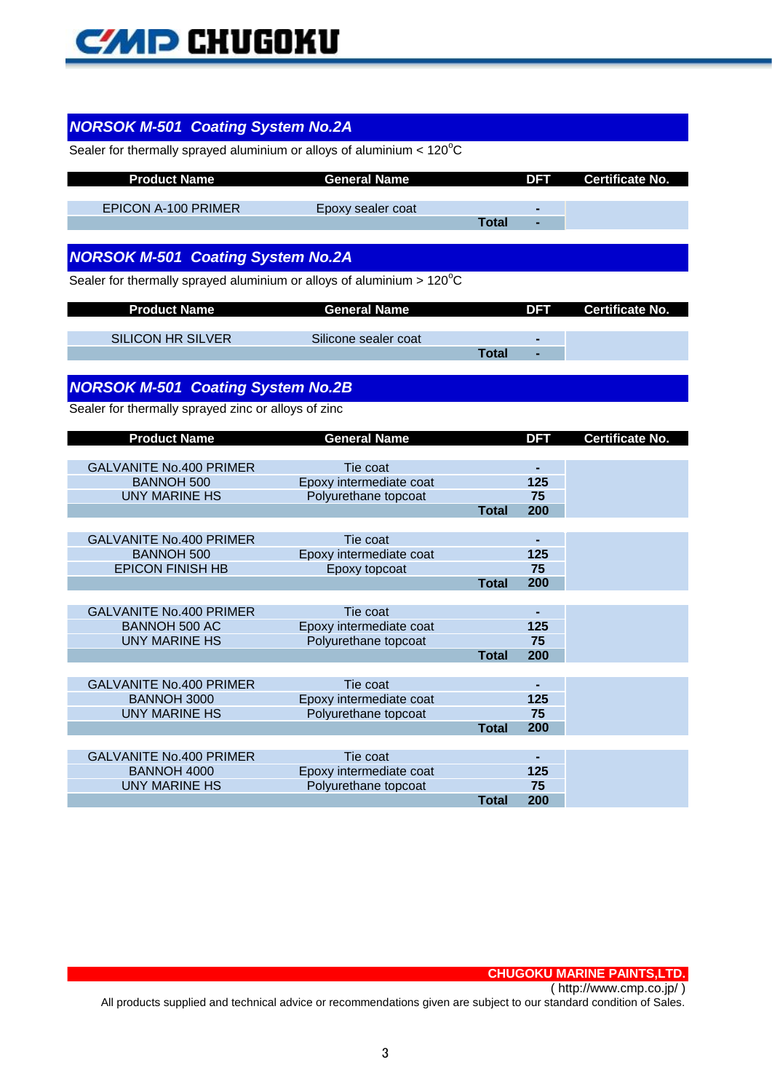# **CMD CHUGOKU**

| <b>NORSOK M-501 Coating System No.2A</b>                                        |                                                 |              |            |                        |
|---------------------------------------------------------------------------------|-------------------------------------------------|--------------|------------|------------------------|
| Sealer for thermally sprayed aluminium or alloys of aluminium $< 120^{\circ}$ C |                                                 |              |            |                        |
|                                                                                 |                                                 |              |            |                        |
| <b>Product Name</b>                                                             | <b>General Name</b>                             |              | <b>DFT</b> | <b>Certificate No.</b> |
|                                                                                 |                                                 |              |            |                        |
| <b>EPICON A-100 PRIMER</b>                                                      | Epoxy sealer coat                               | <b>Total</b> |            |                        |
|                                                                                 |                                                 |              |            |                        |
|                                                                                 |                                                 |              |            |                        |
| <b>NORSOK M-501 Coating System No.2A</b>                                        |                                                 |              |            |                        |
| Sealer for thermally sprayed aluminium or alloys of aluminium $>120^{\circ}$ C  |                                                 |              |            |                        |
|                                                                                 |                                                 |              |            |                        |
| <b>Product Name</b>                                                             | <b>General Name</b>                             |              | DFT        | <b>Certificate No.</b> |
| <b>SILICON HR SILVER</b>                                                        | Silicone sealer coat                            |              |            |                        |
|                                                                                 |                                                 | <b>Total</b> |            |                        |
|                                                                                 |                                                 |              |            |                        |
| <b>NORSOK M-501 Coating System No.2B</b>                                        |                                                 |              |            |                        |
|                                                                                 |                                                 |              |            |                        |
| Sealer for thermally sprayed zinc or alloys of zinc                             |                                                 |              |            |                        |
| <b>Product Name</b>                                                             | <b>General Name</b>                             |              | <b>DFT</b> | <b>Certificate No.</b> |
|                                                                                 |                                                 |              |            |                        |
|                                                                                 |                                                 |              |            |                        |
| <b>GALVANITE No.400 PRIMER</b>                                                  | Tie coat                                        |              |            |                        |
| <b>BANNOH 500</b>                                                               | Epoxy intermediate coat                         |              | 125        |                        |
| <b>UNY MARINE HS</b>                                                            | Polyurethane topcoat                            |              | 75         |                        |
|                                                                                 |                                                 | <b>Total</b> | 200        |                        |
|                                                                                 |                                                 |              |            |                        |
| <b>GALVANITE No.400 PRIMER</b>                                                  | Tie coat                                        |              |            |                        |
| <b>BANNOH 500</b><br><b>EPICON FINISH HB</b>                                    | Epoxy intermediate coat<br>Epoxy topcoat        |              | 125<br>75  |                        |
|                                                                                 |                                                 | <b>Total</b> | 200        |                        |
|                                                                                 |                                                 |              |            |                        |
| <b>GALVANITE No.400 PRIMER</b>                                                  | Tie coat                                        |              |            |                        |
| <b>BANNOH 500 AC</b>                                                            | Epoxy intermediate coat                         |              | 125        |                        |
| <b>UNY MARINE HS</b>                                                            | Polyurethane topcoat                            |              | 75         |                        |
|                                                                                 |                                                 | Total        | 200        |                        |
| <b>GALVANITE No.400 PRIMER</b>                                                  | Tie coat                                        |              |            |                        |
| <b>BANNOH 3000</b>                                                              | Epoxy intermediate coat                         |              | 125        |                        |
| <b>UNY MARINE HS</b>                                                            | Polyurethane topcoat                            |              | 75         |                        |
|                                                                                 |                                                 | <b>Total</b> | 200        |                        |
|                                                                                 |                                                 |              |            |                        |
| <b>GALVANITE No.400 PRIMER</b>                                                  | Tie coat                                        |              |            |                        |
| <b>BANNOH 4000</b><br><b>UNY MARINE HS</b>                                      | Epoxy intermediate coat<br>Polyurethane topcoat |              | 125<br>75  |                        |

**CHUGOKU MARINE PAINTS,LTD.** ( http://www.cmp.co.jp/ )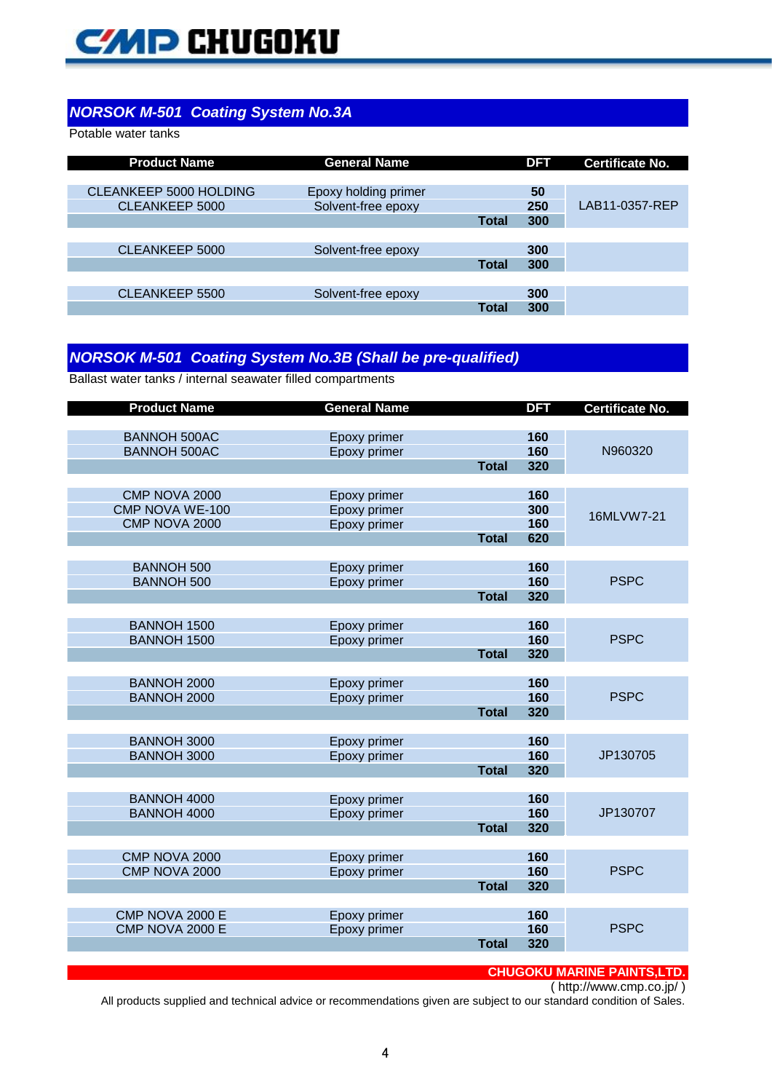# **CMP CHUGOKU**

#### *NORSOK M-501 Coating System No.3A*

Potable water tanks

| <b>Product Name</b>           | <b>General Name</b>  |              | <b>DFT</b> | <b>Certificate No.</b> |
|-------------------------------|----------------------|--------------|------------|------------------------|
|                               |                      |              |            |                        |
| <b>CLEANKEEP 5000 HOLDING</b> | Epoxy holding primer |              | 50         |                        |
| CLEANKEEP 5000                | Solvent-free epoxy   |              | 250        | LAB11-0357-REP         |
|                               |                      | <b>Total</b> | 300        |                        |
|                               |                      |              |            |                        |
| CLEANKEEP 5000                | Solvent-free epoxy   |              | 300        |                        |
|                               |                      | <b>Total</b> | 300        |                        |
|                               |                      |              |            |                        |
| CLEANKEEP 5500                | Solvent-free epoxy   |              | 300        |                        |
|                               |                      | Total        | 300        |                        |

#### *NORSOK M-501 Coating System No.3B (Shall be pre-qualified)*

Ballast water tanks / internal seawater filled compartments

| <b>Product Name</b>                        | <b>General Name</b>          |              | <b>DFT</b> | <b>Certificate No.</b> |
|--------------------------------------------|------------------------------|--------------|------------|------------------------|
|                                            |                              |              |            |                        |
| <b>BANNOH 500AC</b><br><b>BANNOH 500AC</b> | Epoxy primer<br>Epoxy primer |              | 160<br>160 | N960320                |
|                                            |                              | <b>Total</b> | 320        |                        |
|                                            |                              |              |            |                        |
| CMP NOVA 2000                              | Epoxy primer                 |              | 160        |                        |
| CMP NOVA WE-100                            | Epoxy primer                 |              | 300        | 16MLVW7-21             |
| CMP NOVA 2000                              | Epoxy primer                 |              | 160        |                        |
|                                            |                              | <b>Total</b> | 620        |                        |
|                                            |                              |              |            |                        |
| <b>BANNOH 500</b><br><b>BANNOH 500</b>     | Epoxy primer                 |              | 160<br>160 | <b>PSPC</b>            |
|                                            | Epoxy primer                 | <b>Total</b> | 320        |                        |
|                                            |                              |              |            |                        |
| <b>BANNOH 1500</b>                         | Epoxy primer                 |              | 160        |                        |
| <b>BANNOH 1500</b>                         | Epoxy primer                 |              | 160        | <b>PSPC</b>            |
|                                            |                              | <b>Total</b> | 320        |                        |
|                                            |                              |              |            |                        |
| <b>BANNOH 2000</b>                         | Epoxy primer                 |              | 160        |                        |
| <b>BANNOH 2000</b>                         | Epoxy primer                 |              | 160        | <b>PSPC</b>            |
|                                            |                              | <b>Total</b> | 320        |                        |
| <b>BANNOH 3000</b>                         | Epoxy primer                 |              | 160        |                        |
| <b>BANNOH 3000</b>                         | Epoxy primer                 |              | 160        | JP130705               |
|                                            |                              | <b>Total</b> | 320        |                        |
|                                            |                              |              |            |                        |
| <b>BANNOH 4000</b>                         | Epoxy primer                 |              | 160        |                        |
| <b>BANNOH 4000</b>                         | Epoxy primer                 |              | 160        | JP130707               |
|                                            |                              | <b>Total</b> | 320        |                        |
|                                            |                              |              |            |                        |
| CMP NOVA 2000<br>CMP NOVA 2000             | Epoxy primer<br>Epoxy primer |              | 160<br>160 | <b>PSPC</b>            |
|                                            |                              | <b>Total</b> | 320        |                        |
|                                            |                              |              |            |                        |
| CMP NOVA 2000 E                            | Epoxy primer                 |              | 160        |                        |
| CMP NOVA 2000 E                            | Epoxy primer                 |              | 160        | <b>PSPC</b>            |
|                                            |                              | <b>Total</b> | 320        |                        |
|                                            |                              |              |            |                        |

#### **CHUGOKU MARINE PAINTS,LTD.**

( http://www.cmp.co.jp/ )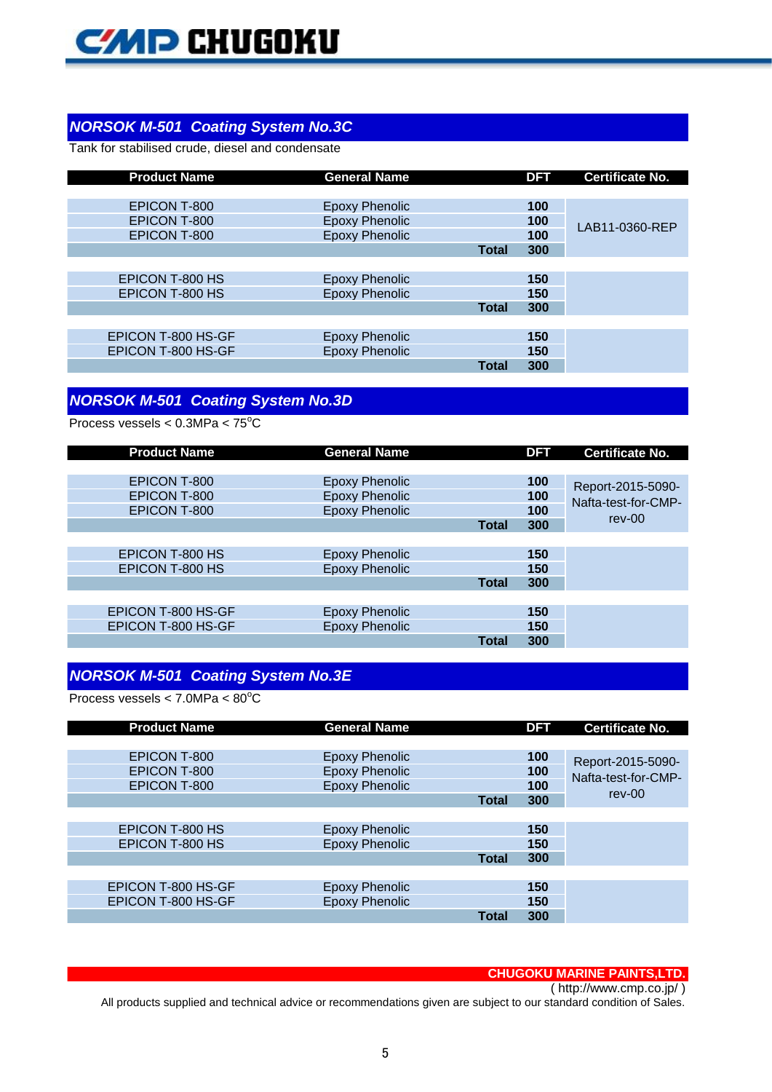# *NORSOK M-501 Coating System No.3C*

Tank for stabilised crude, diesel and condensate

| <b>Product Name</b> | <b>General Name</b>   |              | <b>DFT</b> | <b>Certificate No.</b> |
|---------------------|-----------------------|--------------|------------|------------------------|
|                     |                       |              |            |                        |
| EPICON T-800        | <b>Epoxy Phenolic</b> |              | 100        |                        |
| EPICON T-800        | <b>Epoxy Phenolic</b> |              | 100        | LAB11-0360-REP         |
| <b>EPICON T-800</b> | <b>Epoxy Phenolic</b> |              | 100        |                        |
|                     |                       | <b>Total</b> | 300        |                        |
|                     |                       |              |            |                        |
| EPICON T-800 HS     | <b>Epoxy Phenolic</b> |              | 150        |                        |
| EPICON T-800 HS     | <b>Epoxy Phenolic</b> |              | 150        |                        |
|                     |                       | <b>Total</b> | 300        |                        |
|                     |                       |              |            |                        |
| EPICON T-800 HS-GF  | <b>Epoxy Phenolic</b> |              | 150        |                        |
| EPICON T-800 HS-GF  | <b>Epoxy Phenolic</b> |              | 150        |                        |
|                     |                       | <b>Total</b> | 300        |                        |

## *NORSOK M-501 Coating System No.3D*

Process vessels <  $0.3$ MPa <  $75^{\circ}$ C

| <b>Product Name</b> | <b>General Name</b>   |              | <b>DFT</b> | <b>Certificate No.</b> |
|---------------------|-----------------------|--------------|------------|------------------------|
|                     |                       |              |            |                        |
| EPICON T-800        | <b>Epoxy Phenolic</b> |              | 100        | Report-2015-5090-      |
| EPICON T-800        | <b>Epoxy Phenolic</b> |              | 100        | Nafta-test-for-CMP-    |
| EPICON T-800        | <b>Epoxy Phenolic</b> |              | 100        |                        |
|                     |                       | <b>Total</b> | 300        | $rev-00$               |
|                     |                       |              |            |                        |
| EPICON T-800 HS     | <b>Epoxy Phenolic</b> |              | 150        |                        |
| EPICON T-800 HS     | <b>Epoxy Phenolic</b> |              | 150        |                        |
|                     |                       | <b>Total</b> | 300        |                        |
|                     |                       |              |            |                        |
| EPICON T-800 HS-GF  | <b>Epoxy Phenolic</b> |              | 150        |                        |
| EPICON T-800 HS-GF  | <b>Epoxy Phenolic</b> |              | 150        |                        |
|                     |                       | Total        | 300        |                        |

## *NORSOK M-501 Coating System No.3E*

Process vessels  $< 7.0$ MPa  $< 80^{\circ}$ C

| <b>Product Name</b> | <b>General Name</b>   |              | <b>DFT</b> | <b>Certificate No.</b> |
|---------------------|-----------------------|--------------|------------|------------------------|
|                     |                       |              |            |                        |
| EPICON T-800        | <b>Epoxy Phenolic</b> |              | 100        | Report-2015-5090-      |
| EPICON T-800        | <b>Epoxy Phenolic</b> |              | 100        | Nafta-test-for-CMP-    |
| EPICON T-800        | <b>Epoxy Phenolic</b> |              | 100        |                        |
|                     |                       | <b>Total</b> | 300        | $rev-00$               |
|                     |                       |              |            |                        |
| EPICON T-800 HS     | Epoxy Phenolic        |              | 150        |                        |
| EPICON T-800 HS     | <b>Epoxy Phenolic</b> |              | 150        |                        |
|                     |                       | <b>Total</b> | 300        |                        |
|                     |                       |              |            |                        |
| EPICON T-800 HS-GF  | Epoxy Phenolic        |              | 150        |                        |
| EPICON T-800 HS-GF  | <b>Epoxy Phenolic</b> |              | 150        |                        |
|                     |                       | <b>Total</b> | 300        |                        |

#### **CHUGOKU MARINE PAINTS,LTD.**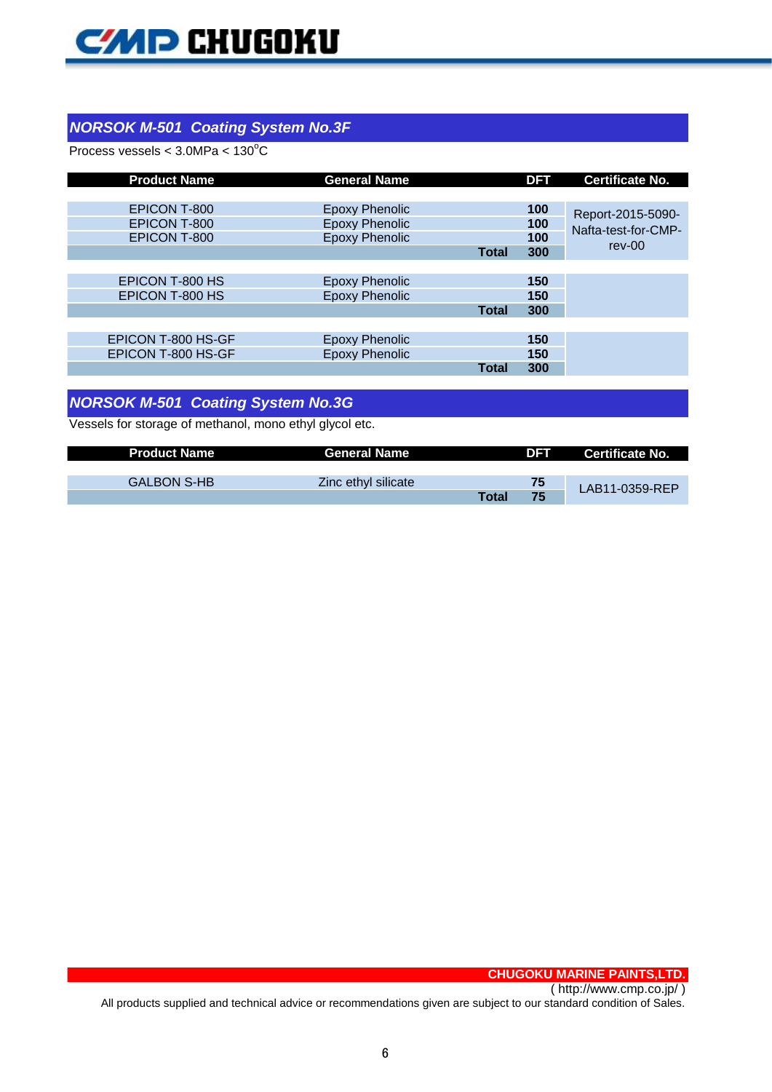## *NORSOK M-501 Coating System No.3F*

Process vessels <  $3.0MPa < 130^{\circ}C$ 

| <b>Product Name</b> | <b>General Name</b>   |              | <b>DFT</b> | <b>Certificate No.</b> |
|---------------------|-----------------------|--------------|------------|------------------------|
|                     |                       |              |            |                        |
| EPICON T-800        | <b>Epoxy Phenolic</b> |              | 100        | Report-2015-5090-      |
| <b>EPICON T-800</b> | <b>Epoxy Phenolic</b> |              | 100        | Nafta-test-for-CMP-    |
| <b>EPICON T-800</b> | <b>Epoxy Phenolic</b> |              | 100        |                        |
|                     |                       | <b>Total</b> | 300        | $rev-00$               |
|                     |                       |              |            |                        |
| EPICON T-800 HS     | <b>Epoxy Phenolic</b> |              | 150        |                        |
| EPICON T-800 HS     | <b>Epoxy Phenolic</b> |              | 150        |                        |
|                     |                       | <b>Total</b> | 300        |                        |
|                     |                       |              |            |                        |
| EPICON T-800 HS-GF  | Epoxy Phenolic        |              | 150        |                        |
| EPICON T-800 HS-GF  | <b>Epoxy Phenolic</b> |              | 150        |                        |
|                     |                       | <b>Total</b> | 300        |                        |
|                     |                       |              |            |                        |

# *NORSOK M-501 Coating System No.3G*

Vessels for storage of methanol, mono ethyl glycol etc.

| <b>Product Name</b> | <b>General Name</b> |              | DFT | Certificate No. |
|---------------------|---------------------|--------------|-----|-----------------|
|                     |                     |              |     |                 |
| <b>GALBON S-HB</b>  | Zinc ethyl silicate |              | 75  | LAB11-0359-REP  |
|                     |                     | <b>Total</b> | 75  |                 |

**CHUGOKU MARINE PAINTS,LTD.**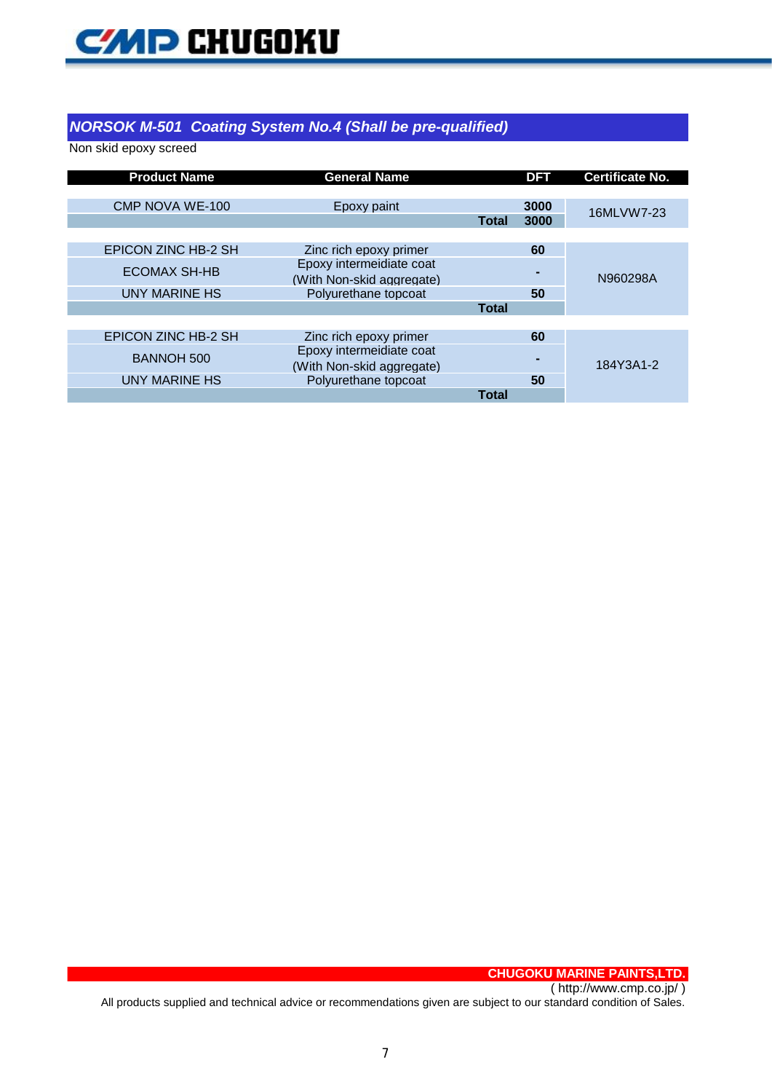

#### *NORSOK M-501 Coating System No.4 (Shall be pre-qualified)*

Non skid epoxy screed

| <b>Product Name</b>        | <b>General Name</b>                                   |              | <b>DFT</b> | <b>Certificate No.</b> |
|----------------------------|-------------------------------------------------------|--------------|------------|------------------------|
| <b>CMP NOVA WE-100</b>     | Epoxy paint                                           |              | 3000       | 16MLVW7-23             |
|                            |                                                       | <b>Total</b> | 3000       |                        |
| EPICON ZINC HB-2 SH        | Zinc rich epoxy primer                                |              | 60         |                        |
| <b>ECOMAX SH-HB</b>        | Epoxy intermeidiate coat<br>(With Non-skid aggregate) |              |            | N960298A               |
| <b>UNY MARINE HS</b>       | Polyurethane topcoat                                  |              | 50         |                        |
|                            |                                                       | <b>Total</b> |            |                        |
|                            |                                                       |              |            |                        |
| <b>EPICON ZINC HB-2 SH</b> | Zinc rich epoxy primer                                |              | 60         |                        |
| <b>BANNOH 500</b>          | Epoxy intermeidiate coat<br>(With Non-skid aggregate) |              |            | 184Y3A1-2              |
| <b>UNY MARINE HS</b>       | Polyurethane topcoat                                  |              | 50         |                        |
|                            |                                                       | <b>Total</b> |            |                        |

**CHUGOKU MARINE PAINTS,LTD.** ( http://www.cmp.co.jp/ )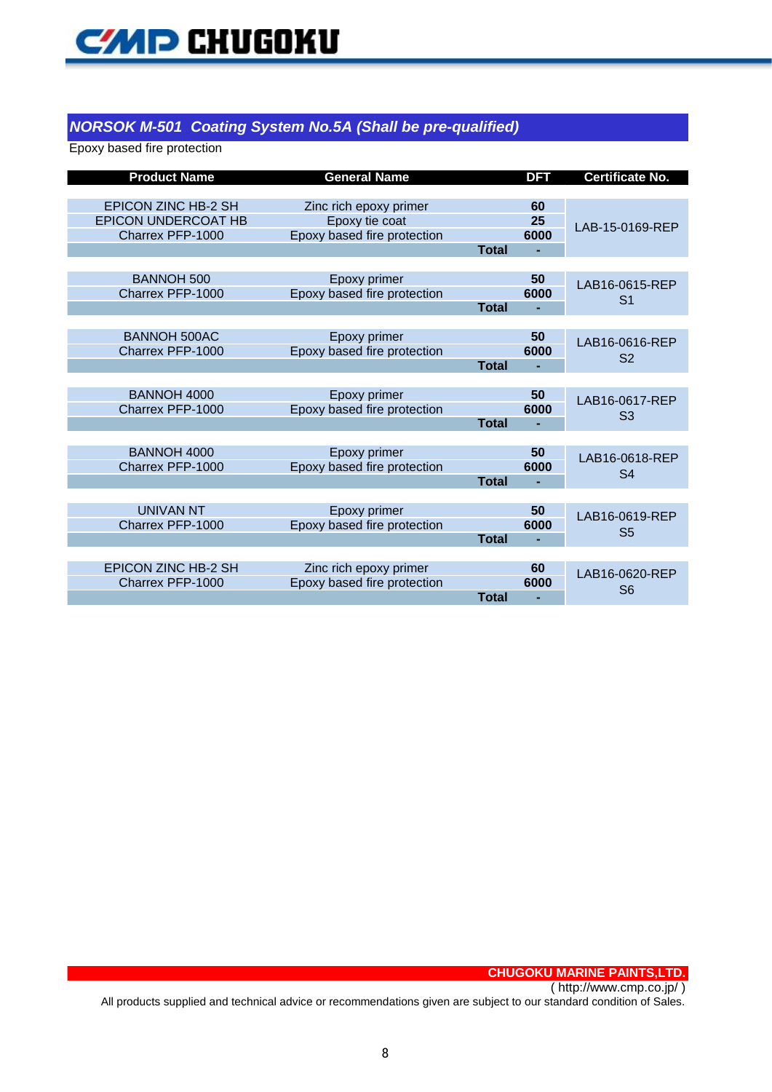#### *NORSOK M-501 Coating System No.5A (Shall be pre-qualified)*

Epoxy based fire protection

| <b>Product Name</b>              | <b>General Name</b>         |              | <b>DFT</b> | <b>Certificate No.</b> |
|----------------------------------|-----------------------------|--------------|------------|------------------------|
|                                  |                             |              |            |                        |
| <b>EPICON ZINC HB-2 SH</b>       | Zinc rich epoxy primer      |              | 60         |                        |
| <b>EPICON UNDERCOAT HB</b>       | Epoxy tie coat              |              | 25         | LAB-15-0169-REP        |
| Charrex PFP-1000                 | Epoxy based fire protection |              | 6000       |                        |
|                                  |                             | <b>Total</b> |            |                        |
|                                  |                             |              |            |                        |
| <b>BANNOH 500</b>                | Epoxy primer                |              | 50         | LAB16-0615-REP         |
| Charrex PFP-1000                 | Epoxy based fire protection |              | 6000       | S <sub>1</sub>         |
|                                  |                             | <b>Total</b> |            |                        |
|                                  |                             |              |            |                        |
| BANNOH 500AC<br>Charrex PFP-1000 | Epoxy primer                |              | 50<br>6000 | LAB16-0616-REP         |
|                                  | Epoxy based fire protection | <b>Total</b> |            | S <sub>2</sub>         |
|                                  |                             |              |            |                        |
| <b>BANNOH 4000</b>               | Epoxy primer                |              | 50         |                        |
| Charrex PFP-1000                 | Epoxy based fire protection |              | 6000       | LAB16-0617-REP         |
|                                  |                             | <b>Total</b> |            | S <sub>3</sub>         |
|                                  |                             |              |            |                        |
| <b>BANNOH 4000</b>               | Epoxy primer                |              | 50         |                        |
| Charrex PFP-1000                 | Epoxy based fire protection |              | 6000       | LAB16-0618-REP         |
|                                  |                             | <b>Total</b> |            | S <sub>4</sub>         |
|                                  |                             |              |            |                        |
| <b>UNIVAN NT</b>                 | Epoxy primer                |              | 50         | LAB16-0619-REP         |
| Charrex PFP-1000                 | Epoxy based fire protection |              | 6000       | S <sub>5</sub>         |
|                                  |                             | <b>Total</b> |            |                        |
|                                  |                             |              |            |                        |
| <b>EPICON ZINC HB-2 SH</b>       | Zinc rich epoxy primer      |              | 60         | LAB16-0620-REP         |
| Charrex PFP-1000                 | Epoxy based fire protection |              | 6000       | S <sub>6</sub>         |
|                                  |                             | <b>Total</b> |            |                        |

**CHUGOKU MARINE PAINTS,LTD.** ( http://www.cmp.co.jp/ )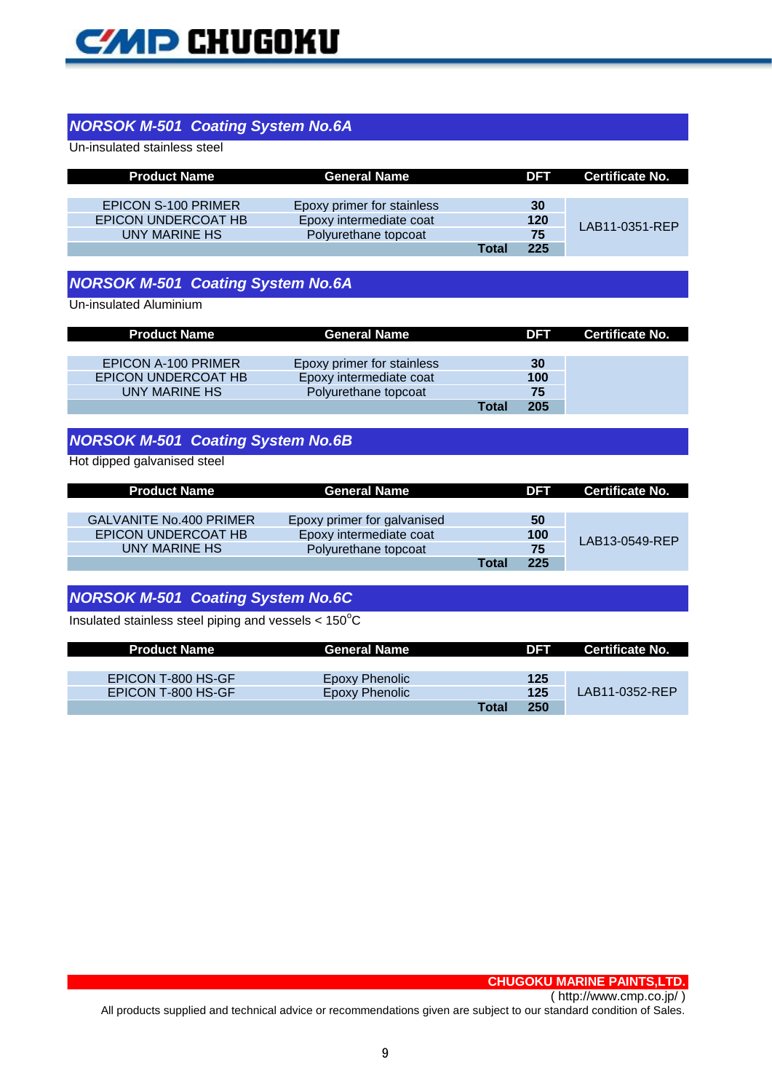

#### *NORSOK M-501 Coating System No.6A*

Un-insulated stainless steel

| <b>Product Name</b> | <b>General Name</b>        |       | DFT | Certificate No. |
|---------------------|----------------------------|-------|-----|-----------------|
|                     |                            |       |     |                 |
| EPICON S-100 PRIMER | Epoxy primer for stainless |       | 30  |                 |
| EPICON UNDERCOAT HB | Epoxy intermediate coat    |       | 120 | LAB11-0351-REP  |
| UNY MARINE HS       | Polyurethane topcoat       |       | 75  |                 |
|                     |                            | Total | 225 |                 |

# *NORSOK M-501 Coating System No.6A*

Un-insulated Aluminium

| <b>Product Name</b> | <b>General Name</b>        |       | <b>DFT</b> | Certificate No. |
|---------------------|----------------------------|-------|------------|-----------------|
|                     |                            |       |            |                 |
| EPICON A-100 PRIMER | Epoxy primer for stainless |       | 30         |                 |
| EPICON UNDERCOAT HB | Epoxy intermediate coat    |       | 100        |                 |
| UNY MARINE HS       | Polyurethane topcoat       |       | 75         |                 |
|                     |                            | Total | 205        |                 |

# *NORSOK M-501 Coating System No.6B*

Hot dipped galvanised steel

| <b>Product Name</b>            | General Name                |       | <b>DFT</b> | Certificate No. |
|--------------------------------|-----------------------------|-------|------------|-----------------|
|                                |                             |       |            |                 |
| <b>GALVANITE No.400 PRIMER</b> | Epoxy primer for galvanised |       | 50         |                 |
| EPICON UNDERCOAT HB            | Epoxy intermediate coat     |       | 100        | LAB13-0549-REP  |
| UNY MARINE HS                  | Polyurethane topcoat        |       | 75         |                 |
|                                |                             | Total | 225        |                 |

## *NORSOK M-501 Coating System No.6C*

Insulated stainless steel piping and vessels  $< 150^{\circ}$ C

| <b>Product Name</b> | <b>General Name</b> |       | DFT | Certificate No. |
|---------------------|---------------------|-------|-----|-----------------|
|                     |                     |       |     |                 |
| EPICON T-800 HS-GF  | Epoxy Phenolic      |       | 125 |                 |
| EPICON T-800 HS-GF  | Epoxy Phenolic      |       | 125 | LAB11-0352-REP  |
|                     |                     | Total | 250 |                 |

**CHUGOKU MARINE PAINTS,LTD.**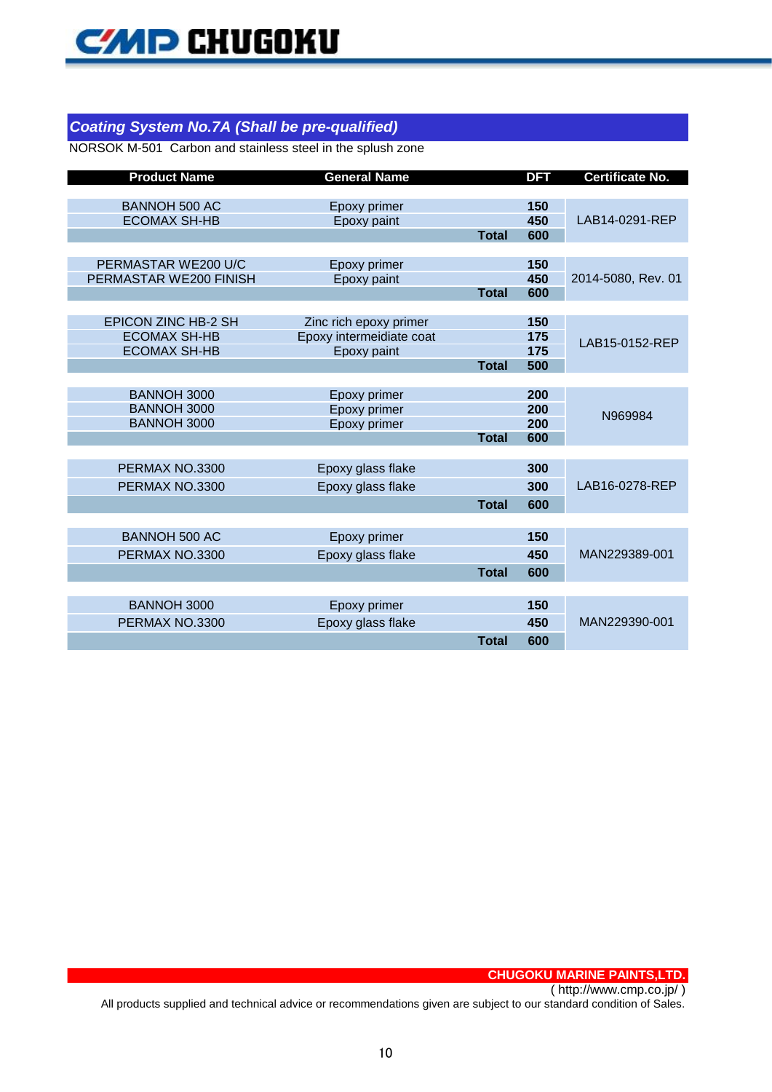# *Coating System No.7A (Shall be pre-qualified)*

NORSOK M-501 Carbon and stainless steel in the splush zone

| <b>Product Name</b>                         | <b>General Name</b>          |              | <b>DFT</b> | <b>Certificate No.</b> |
|---------------------------------------------|------------------------------|--------------|------------|------------------------|
|                                             |                              |              |            |                        |
| <b>BANNOH 500 AC</b><br><b>ECOMAX SH-HB</b> | Epoxy primer<br>Epoxy paint  |              | 150<br>450 | LAB14-0291-REP         |
|                                             |                              | <b>Total</b> | 600        |                        |
|                                             |                              |              |            |                        |
| PERMASTAR WE200 U/C                         | Epoxy primer                 |              | 150        |                        |
| PERMASTAR WE200 FINISH                      | Epoxy paint                  |              | 450        | 2014-5080, Rev. 01     |
|                                             |                              | <b>Total</b> | 600        |                        |
| <b>EPICON ZINC HB-2 SH</b>                  | Zinc rich epoxy primer       |              | 150        |                        |
| <b>ECOMAX SH-HB</b>                         | Epoxy intermeidiate coat     |              | 175        |                        |
| <b>ECOMAX SH-HB</b>                         | Epoxy paint                  |              | 175        | LAB15-0152-REP         |
|                                             |                              | <b>Total</b> | 500        |                        |
|                                             |                              |              |            |                        |
| BANNOH 3000                                 | Epoxy primer                 |              | 200        |                        |
| <b>BANNOH 3000</b><br><b>BANNOH 3000</b>    | Epoxy primer<br>Epoxy primer |              | 200<br>200 | N969984                |
|                                             |                              | <b>Total</b> | 600        |                        |
|                                             |                              |              |            |                        |
| PERMAX NO.3300                              | Epoxy glass flake            |              | 300        |                        |
| PERMAX NO.3300                              | Epoxy glass flake            |              | 300        | LAB16-0278-REP         |
|                                             |                              | <b>Total</b> | 600        |                        |
|                                             |                              |              |            |                        |
| <b>BANNOH 500 AC</b>                        | Epoxy primer                 |              | 150        |                        |
| PERMAX NO.3300                              | Epoxy glass flake            |              | 450        | MAN229389-001          |
|                                             |                              | <b>Total</b> | 600        |                        |
|                                             |                              |              |            |                        |
| <b>BANNOH 3000</b>                          | Epoxy primer                 |              | 150        |                        |
| PERMAX NO.3300                              | Epoxy glass flake            |              | 450        | MAN229390-001          |
|                                             |                              | <b>Total</b> | 600        |                        |

**CHUGOKU MARINE PAINTS,LTD.**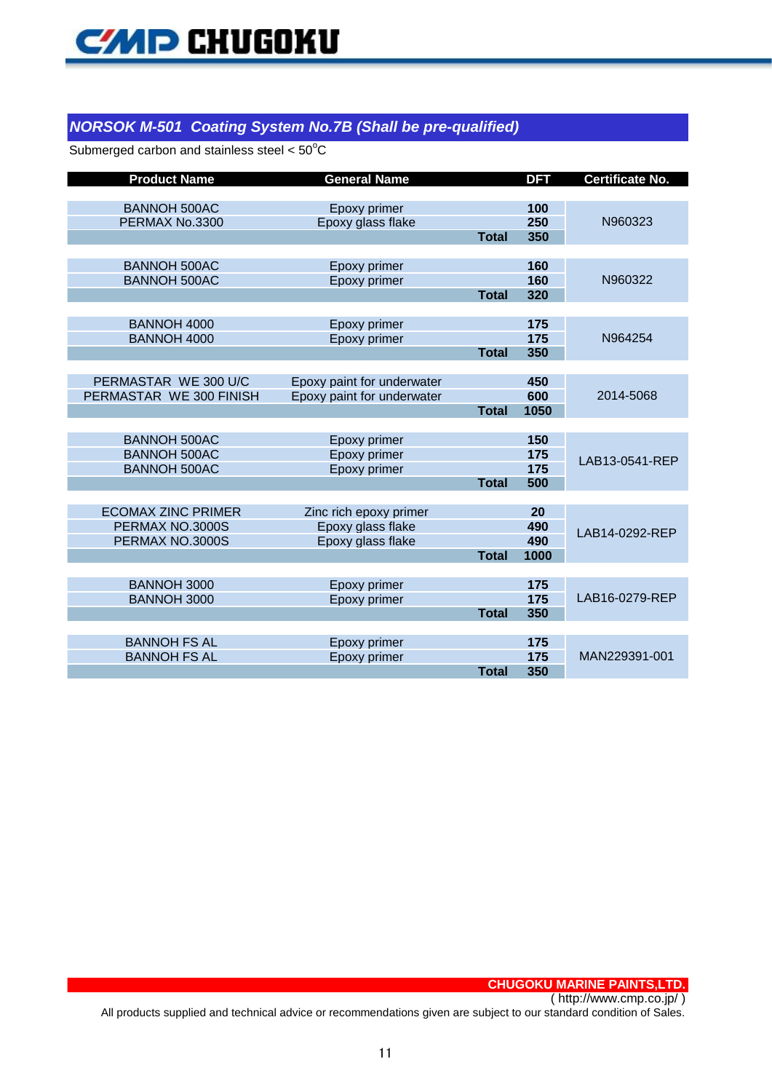### *NORSOK M-501 Coating System No.7B (Shall be pre-qualified)*

Submerged carbon and stainless steel  $< 50^{\circ}$ C

| <b>Product Name</b>       | <b>General Name</b>        |              | <b>DFT</b> | <b>Certificate No.</b> |
|---------------------------|----------------------------|--------------|------------|------------------------|
|                           |                            |              |            |                        |
| <b>BANNOH 500AC</b>       | Epoxy primer               |              | 100        |                        |
| PERMAX No.3300            | Epoxy glass flake          |              | 250        | N960323                |
|                           |                            | <b>Total</b> | 350        |                        |
|                           |                            |              |            |                        |
| <b>BANNOH 500AC</b>       | Epoxy primer               |              | 160        |                        |
| <b>BANNOH 500AC</b>       | Epoxy primer               |              | 160        | N960322                |
|                           |                            | <b>Total</b> | 320        |                        |
| <b>BANNOH 4000</b>        |                            |              |            |                        |
| <b>BANNOH 4000</b>        | Epoxy primer               |              | 175<br>175 | N964254                |
|                           | Epoxy primer               | <b>Total</b> | 350        |                        |
|                           |                            |              |            |                        |
| PERMASTAR WE 300 U/C      | Epoxy paint for underwater |              | 450        |                        |
| PERMASTAR WE 300 FINISH   | Epoxy paint for underwater |              | 600        | 2014-5068              |
|                           |                            | <b>Total</b> | 1050       |                        |
|                           |                            |              |            |                        |
| <b>BANNOH 500AC</b>       | Epoxy primer               |              | 150        |                        |
| <b>BANNOH 500AC</b>       | Epoxy primer               |              | 175        | LAB13-0541-REP         |
| <b>BANNOH 500AC</b>       | Epoxy primer               |              | 175        |                        |
|                           |                            | <b>Total</b> | 500        |                        |
|                           |                            |              |            |                        |
| <b>ECOMAX ZINC PRIMER</b> | Zinc rich epoxy primer     |              | 20         |                        |
| PERMAX NO.3000S           | Epoxy glass flake          |              | 490        | LAB14-0292-REP         |
| PERMAX NO.3000S           | Epoxy glass flake          |              | 490        |                        |
|                           |                            | <b>Total</b> | 1000       |                        |
|                           |                            |              |            |                        |
| <b>BANNOH 3000</b>        | Epoxy primer               |              | 175        |                        |
| <b>BANNOH 3000</b>        | Epoxy primer               |              | 175        | LAB16-0279-REP         |
|                           |                            | <b>Total</b> | 350        |                        |
| <b>BANNOH FS AL</b>       | Epoxy primer               |              | 175        |                        |
| <b>BANNOH FS AL</b>       | Epoxy primer               |              | 175        | MAN229391-001          |
|                           |                            | <b>Total</b> | 350        |                        |

**CHUGOKU MARINE PAINTS,LTD.**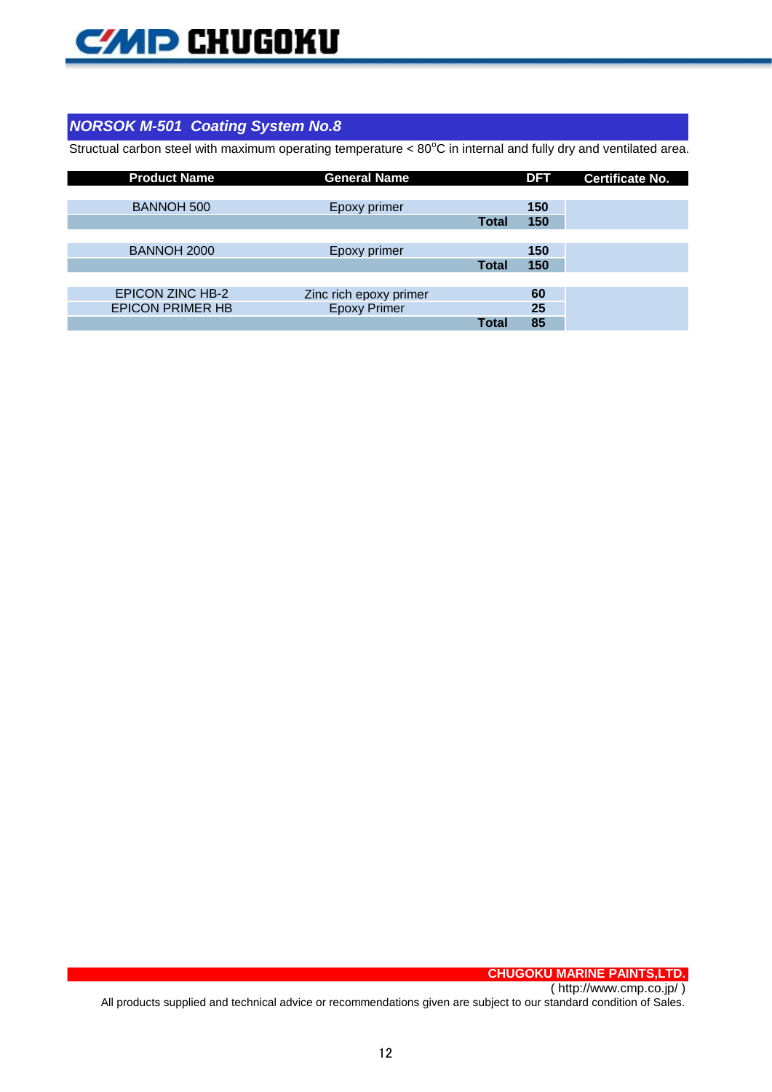

# *NORSOK M-501 Coating System No.8*

Structual carbon steel with maximum operating temperature < 80°C in internal and fully dry and ventilated area.

| <b>Product Name</b>     | <b>General Name</b>    |              | <b>DFT</b> | <b>Certificate No.</b> |
|-------------------------|------------------------|--------------|------------|------------------------|
|                         |                        |              |            |                        |
| <b>BANNOH 500</b>       | Epoxy primer           |              | 150        |                        |
|                         |                        | <b>Total</b> | 150        |                        |
|                         |                        |              |            |                        |
| BANNOH 2000             | Epoxy primer           |              | 150        |                        |
|                         |                        | <b>Total</b> | 150        |                        |
|                         |                        |              |            |                        |
| <b>EPICON ZINC HB-2</b> | Zinc rich epoxy primer |              | 60         |                        |
| <b>EPICON PRIMER HB</b> | <b>Epoxy Primer</b>    |              | 25         |                        |
|                         |                        | <b>Total</b> | 85         |                        |

**CHUGOKU MARINE PAINTS,LTD.**